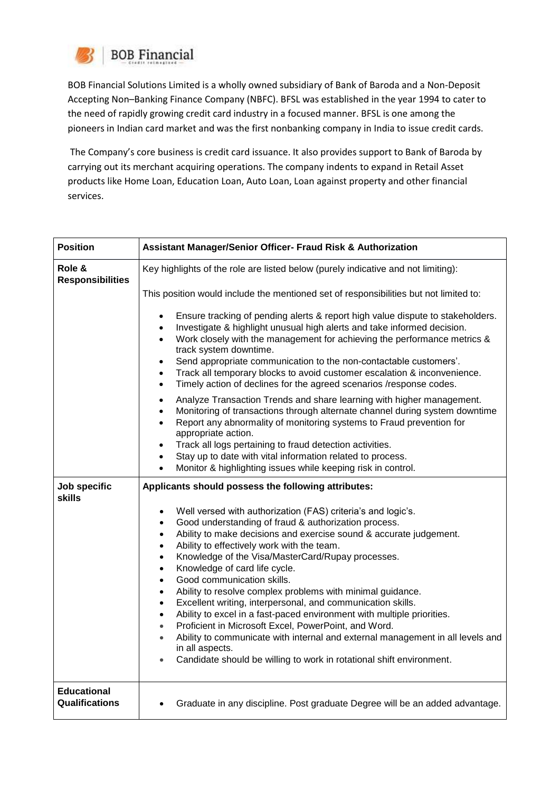

BOB Financial Solutions Limited is a wholly owned subsidiary of Bank of Baroda and a Non-Deposit Accepting Non–Banking Finance Company (NBFC). BFSL was established in the year 1994 to cater to the need of rapidly growing credit card industry in a focused manner. BFSL is one among the pioneers in Indian card market and was the first nonbanking company in India to issue credit cards.

The Company's core business is credit card issuance. It also provides support to Bank of Baroda by carrying out its merchant acquiring operations. The company indents to expand in Retail Asset products like Home Loan, Education Loan, Auto Loan, Loan against property and other financial services.

| <b>Position</b>                      | Assistant Manager/Senior Officer- Fraud Risk & Authorization                                                                                                                                                                                                                                                                                                                                                                                                                                                                                                                                                                                                                                                                                                                                                                                                                                                                               |
|--------------------------------------|--------------------------------------------------------------------------------------------------------------------------------------------------------------------------------------------------------------------------------------------------------------------------------------------------------------------------------------------------------------------------------------------------------------------------------------------------------------------------------------------------------------------------------------------------------------------------------------------------------------------------------------------------------------------------------------------------------------------------------------------------------------------------------------------------------------------------------------------------------------------------------------------------------------------------------------------|
| Role &<br><b>Responsibilities</b>    | Key highlights of the role are listed below (purely indicative and not limiting):                                                                                                                                                                                                                                                                                                                                                                                                                                                                                                                                                                                                                                                                                                                                                                                                                                                          |
|                                      | This position would include the mentioned set of responsibilities but not limited to:                                                                                                                                                                                                                                                                                                                                                                                                                                                                                                                                                                                                                                                                                                                                                                                                                                                      |
|                                      | Ensure tracking of pending alerts & report high value dispute to stakeholders.<br>$\bullet$<br>Investigate & highlight unusual high alerts and take informed decision.<br>Work closely with the management for achieving the performance metrics &<br>track system downtime.<br>Send appropriate communication to the non-contactable customers'.<br>$\bullet$<br>Track all temporary blocks to avoid customer escalation & inconvenience.<br>$\bullet$<br>Timely action of declines for the agreed scenarios /response codes.<br>$\bullet$                                                                                                                                                                                                                                                                                                                                                                                                |
|                                      | Analyze Transaction Trends and share learning with higher management.<br>$\bullet$<br>Monitoring of transactions through alternate channel during system downtime<br>$\bullet$<br>Report any abnormality of monitoring systems to Fraud prevention for<br>appropriate action.                                                                                                                                                                                                                                                                                                                                                                                                                                                                                                                                                                                                                                                              |
|                                      | Track all logs pertaining to fraud detection activities.<br>$\bullet$<br>Stay up to date with vital information related to process.<br>Monitor & highlighting issues while keeping risk in control.                                                                                                                                                                                                                                                                                                                                                                                                                                                                                                                                                                                                                                                                                                                                        |
| Job specific<br><b>skills</b>        | Applicants should possess the following attributes:                                                                                                                                                                                                                                                                                                                                                                                                                                                                                                                                                                                                                                                                                                                                                                                                                                                                                        |
|                                      | Well versed with authorization (FAS) criteria's and logic's.<br>$\bullet$<br>Good understanding of fraud & authorization process.<br>Ability to make decisions and exercise sound & accurate judgement.<br>$\bullet$<br>Ability to effectively work with the team.<br>$\bullet$<br>Knowledge of the Visa/MasterCard/Rupay processes.<br>$\bullet$<br>Knowledge of card life cycle.<br>$\bullet$<br>Good communication skills.<br>$\bullet$<br>Ability to resolve complex problems with minimal guidance.<br>$\bullet$<br>Excellent writing, interpersonal, and communication skills.<br>$\bullet$<br>Ability to excel in a fast-paced environment with multiple priorities.<br>$\bullet$<br>Proficient in Microsoft Excel, PowerPoint, and Word.<br>$\bullet$<br>Ability to communicate with internal and external management in all levels and<br>in all aspects.<br>Candidate should be willing to work in rotational shift environment. |
| <b>Educational</b><br>Qualifications | Graduate in any discipline. Post graduate Degree will be an added advantage.                                                                                                                                                                                                                                                                                                                                                                                                                                                                                                                                                                                                                                                                                                                                                                                                                                                               |